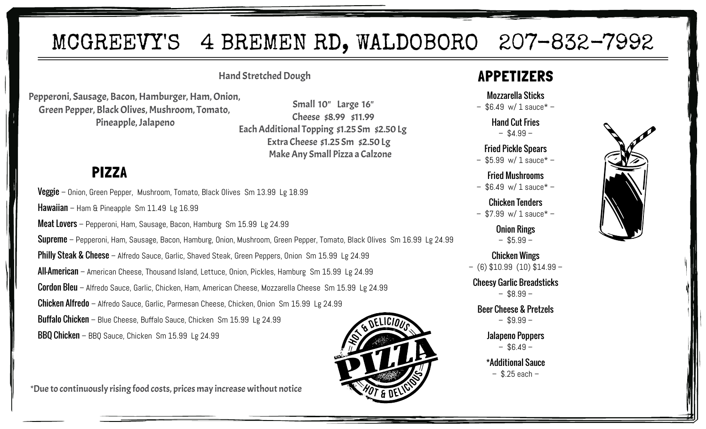# MCGREEVY'S 4 BREMEN RD, WALDOBORO 207-832-7992

#### Hand Stretched Dough

Pepperoni, Sausage, Bacon, Hamburger, Ham, Onion, Green Pepper, Black Olives, Mushroom, Tomato, Pineapple, Jalapeno

 Small 10" Large 16" Cheese \$8.99 \$11.99 Each Additional Topping \$1.25 Sm \$2.50 Lg Extra Cheese \$1.25 Sm \$2.50 Lg Make Any Small Pizza a Calzone

## PIZZA

Veggie – Onion, Green Pepper, Mushroom, Tomato, Black Olives Sm 13.99 Lg 18.99

Hawaiian – Ham & Pineapple Sm 11.49 Lg 16.99

Meat Lovers – Pepperoni, Ham, Sausage, Bacon, Hamburg Sm 15.99 Lg 24.99

Supreme – Pepperoni, Ham, Sausage, Bacon, Hamburg, Onion, Mushroom, Green Pepper, Tomato, Black Olives Sm 16.99 Lg 24.99

Philly Steak & Cheese – Alfredo Sauce, Garlic, Shaved Steak, Green Peppers, Onion Sm 15.99 Lg 24.99

All-American – American Cheese, Thousand Island, Lettuce, Onion, Pickles, Hamburg Sm 15.99 Lg 24.99

Cordon Bleu – Alfredo Sauce, Garlic, Chicken, Ham, American Cheese, Mozzarella Cheese Sm 15.99 Lg 24.99

Chicken Alfredo – Alfredo Sauce, Garlic, Parmesan Cheese, Chicken, Onion Sm 15.99 Lg 24.99

Buffalo Chicken - Blue Cheese, Buffalo Sauce, Chicken Sm 15.99 Lg 24.99

BBQ Chicken – BBQ Sauce, Chicken Sm 15.99 Lg 24.99

\*Due to continuously rising food costs, prices may increase without notice

## APPETIZERS

#### Mozzarella Sticks

 $-$  \$6.49 w/ 1 sauce\*  $-$ 

Hand Cut Fries  $-$  \$4.99  $-$ 

Fried Pickle Spears

 $-$  \$5.99 w/ 1 sauce\*  $-$ 

Fried Mushrooms  $-$  \$6.49 w/ 1 sauce\*  $-$ 

Chicken Tenders  $-$  \$7.99 w/ 1 sauce\*  $-$ 

> Onion Rings  $-$  \$5.99  $-$

Chicken Wings – (6) \$10.99 (10) \$14.99 –

Cheesy Garlic Breadsticks  $-$  \$8.99  $-$ 

Beer Cheese & Pretzels  $-$  \$9.99  $-$ 

> Jalapeno Poppers  $-$  \$6.49  $-$

\*Additional Sauce  $-$  \$.25 each  $-$